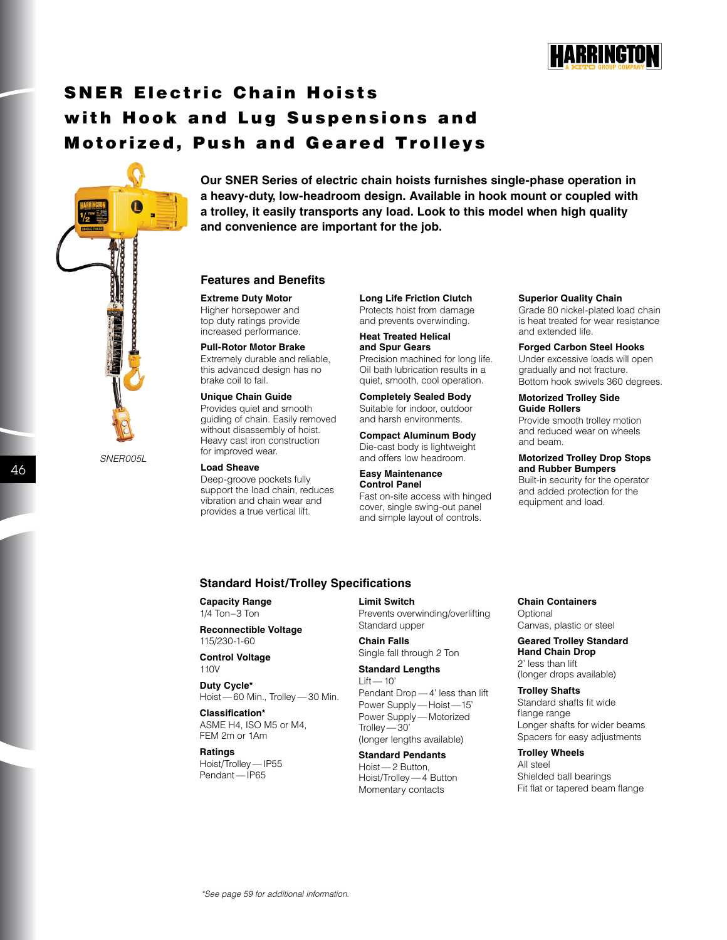

# SNER Electric Chain Hoists with Hook and Lug Suspensions and Motorized, Push and Geared Trolleys



*SNER005L*

**Our SNER Series of electric chain hoists furnishes single-phase operation in a heavy-duty, low-headroom design. Available in hook mount or coupled with a trolley, it easily transports any load. Look to this model when high quality and convenience are important for the job.**

### **Features and Benefits**

**Extreme Duty Motor** Higher horsepower and top duty ratings provide increased performance.

#### **Pull-Rotor Motor Brake**

Extremely durable and reliable, this advanced design has no brake coil to fail.

#### **Unique Chain Guide**

Provides quiet and smooth guiding of chain. Easily removed without disassembly of hoist. Heavy cast iron construction for improved wear.

#### **Load Sheave**

Deep-groove pockets fully support the load chain, reduces vibration and chain wear and provides a true vertical lift.

**Long Life Friction Clutch** Protects hoist from damage and prevents overwinding.

**Heat Treated Helical and Spur Gears** Precision machined for long life. Oil bath lubrication results in a quiet, smooth, cool operation.

**Completely Sealed Body** Suitable for indoor, outdoor and harsh environments.

**Compact Aluminum Body** Die-cast body is lightweight and offers low headroom.

#### **Easy Maintenance Control Panel**

Fast on-site access with hinged cover, single swing-out panel and simple layout of controls.

#### **Superior Quality Chain**

Grade 80 nickel-plated load chain is heat treated for wear resistance and extended life.

**Forged Carbon Steel Hooks** Under excessive loads will open gradually and not fracture. Bottom hook swivels 360 degrees.

#### **Motorized Trolley Side Guide Rollers**

Provide smooth trolley motion and reduced wear on wheels and beam.

#### **Motorized Trolley Drop Stops and Rubber Bumpers**

Built-in security for the operator and added protection for the equipment and load.

#### **Standard Hoist/Trolley Specifications**

**Capacity Range** 1/4 Ton–3 Ton

**Reconnectible Voltage** 115/230-1-60

**Control Voltage** 110V

**Duty Cycle\*** Hoist — 60 Min., Trolley — 30 Min.

**Classification\*** ASME H4, ISO M5 or M4, FEM 2m or 1Am

#### **Ratings**

Hoist/Trolley — IP55 Pendant — IP65

**Limit Switch** Prevents overwinding/overlifting Standard upper

**Chain Falls** Single fall through 2 Ton

**Standard Lengths**  $Lift - 10'$ Pendant Drop — 4' less than lift Power Supply - Hoist - 15' Power Supply — Motorized Trolley — 30' (longer lengths available)

**Standard Pendants** Hoist — 2 Button, Hoist/Trolley — 4 Button Momentary contacts

**Chain Containers**

**Optional** Canvas, plastic or steel

**Geared Trolley Standard Hand Chain Drop** 2' less than lift (longer drops available)

**Trolley Shafts** Standard shafts fit wide flange range Longer shafts for wider beams Spacers for easy adjustments

**Trolley Wheels**

All steel Shielded ball bearings Fit flat or tapered beam flange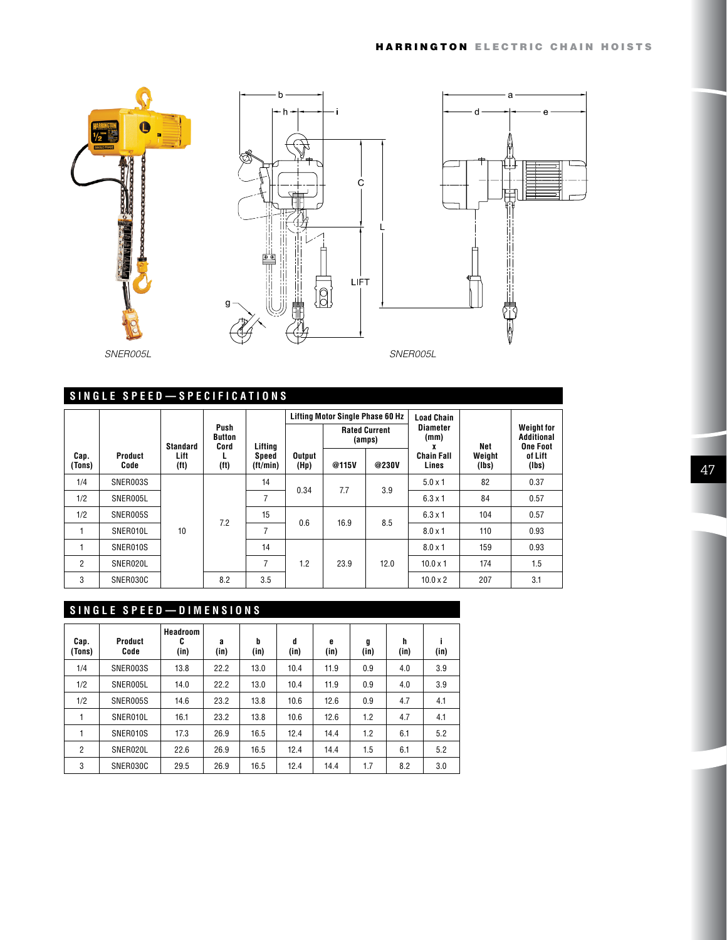





# **SINGLE SPEED—SPECIFICATIONS**

|                |                        |                           |                               |                   |                | <b>Lifting Motor Single Phase 60 Hz</b> |                                | <b>Load Chain</b>          |                 |                                                    |
|----------------|------------------------|---------------------------|-------------------------------|-------------------|----------------|-----------------------------------------|--------------------------------|----------------------------|-----------------|----------------------------------------------------|
|                |                        | Standard                  | Push<br><b>Button</b><br>Cord | Lifting           |                |                                         | <b>Rated Current</b><br>(amps) | <b>Diameter</b><br>(mm)    | Net             | <b>Weight for</b><br>Additional<br><b>One Foot</b> |
| Cap.<br>(Tons) | <b>Product</b><br>Code | Lift<br>(f <sup>t</sup> ) | (f <sup>t</sup> )             | Speed<br>(tt/min) | Output<br>(Hp) | @115V                                   | @230V                          | <b>Chain Fall</b><br>Lines | Weight<br>(lbs) | of Lift<br>(lbs)                                   |
| 1/4            | SNER003S               |                           |                               | 14                | 0.34           | 7.7                                     | 3.9                            | $5.0 \times 1$             | 82              | 0.37                                               |
| 1/2            | SNER005L               |                           | 7.2                           | 7                 |                |                                         |                                | $6.3 \times 1$             | 84              | 0.57                                               |
| 1/2            | SNER005S               |                           |                               | 15                | 0.6            | 16.9                                    |                                | $6.3 \times 1$             | 104             | 0.57                                               |
| 1              | SNER010L               | 10                        |                               | 7                 |                |                                         | 8.5                            | $8.0 \times 1$             | 110             | 0.93                                               |
| 1              | SNER010S               |                           |                               | 14                |                |                                         |                                | $8.0 \times 1$             | 159             | 0.93                                               |
| 2              | SNER020L               |                           |                               | 7                 | 1.2            | 23.9                                    | 12.0                           | $10.0 \times 1$            | 174             | 1.5                                                |
| 3              | SNER030C               |                           | 8.2                           | 3.5               |                |                                         |                                | $10.0 \times 2$            | 207             | 3.1                                                |

## **SINGLE SPEED—DIMENSIONS**

| Cap.<br>(Tons) | Product<br>Code | Headroom<br>C<br>(in) | a<br>(in) | b<br>(in) | d<br>(in) | e<br>(in) | g<br>(in) | h<br>(in) | (in) |
|----------------|-----------------|-----------------------|-----------|-----------|-----------|-----------|-----------|-----------|------|
| 1/4            | SNER003S        | 13.8                  | 22.2      | 13.0      | 10.4      | 11.9      | 0.9       | 4.0       | 3.9  |
| 1/2            | SNER005L        | 14.0                  | 22.2      | 13.0      | 10.4      | 11.9      | 0.9       | 4.0       | 3.9  |
| 1/2            | SNER005S        | 14.6                  | 23.2      | 13.8      | 10.6      | 12.6      | 0.9       | 4.7       | 4.1  |
|                | SNER010L        | 16.1                  | 23.2      | 13.8      | 10.6      | 12.6      | 1.2       | 4.7       | 4.1  |
|                | SNER010S        | 17.3                  | 26.9      | 16.5      | 12.4      | 14.4      | 1.2       | 6.1       | 5.2  |
| $\overline{2}$ | SNER020L        | 22.6                  | 26.9      | 16.5      | 12.4      | 14.4      | 1.5       | 6.1       | 5.2  |
| 3              | SNER030C        | 29.5                  | 26.9      | 16.5      | 12.4      | 14.4      | 1.7       | 8.2       | 3.0  |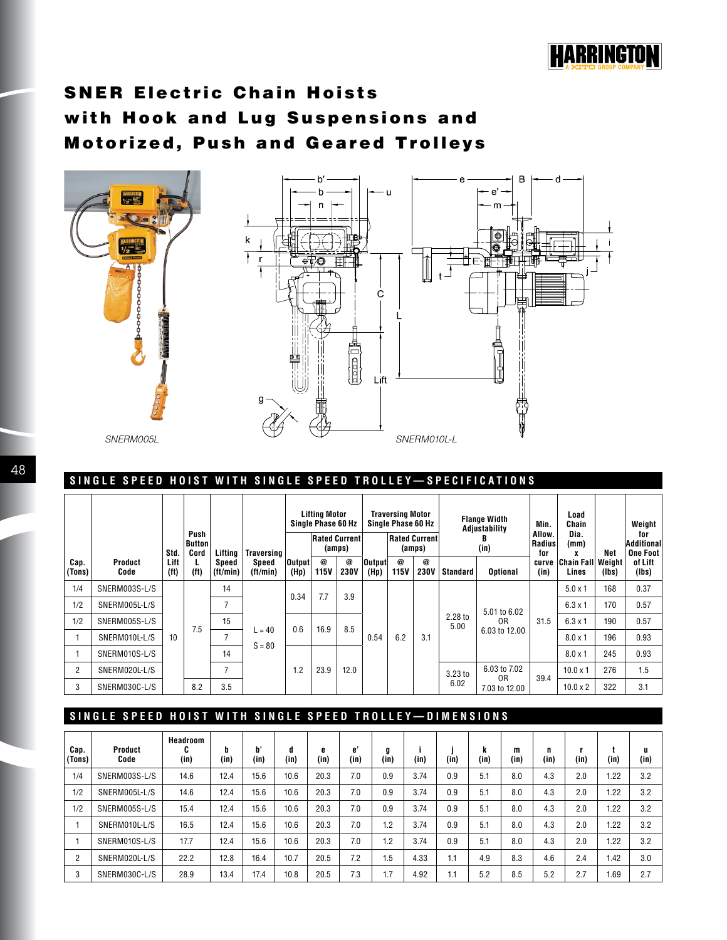

# SNER Electric Chain Hoists with Hook and Lug Suspensions and Motorized, Push and Geared Trolleys



## **SINGLE SPEED HOIST WITH SINGLE SPEED TROLLEY—SPECIFICATIONS**

|                |                 |                           |                        |                   |                                | Lifting Motor<br>Single Phase 60 Hz |                                |                               | <b>Traversing Motor</b><br>Single Phase 60 Hz |                                 |                           | <b>Flange Width</b><br>Adjustability |                                | Min.                    | Load<br>Chain                     |       | Weight                               |
|----------------|-----------------|---------------------------|------------------------|-------------------|--------------------------------|-------------------------------------|--------------------------------|-------------------------------|-----------------------------------------------|---------------------------------|---------------------------|--------------------------------------|--------------------------------|-------------------------|-----------------------------------|-------|--------------------------------------|
|                |                 | Std.                      | Push<br>Button<br>Cord | Liftina           | <b>Traversing</b>              |                                     | <b>Rated Current</b><br>(amps) |                               |                                               | <b>Rated Currentl</b><br>(amps) |                           | (in)                                 |                                | Allow.<br>Radius<br>for | Dia.<br>(mm)                      | Net   | for<br>Additional<br><b>One Foot</b> |
| Cap.<br>(Tons) | Product<br>Code | Lift<br>(f <sup>t</sup> ) | L<br>(f <sup>t</sup> ) | Speed<br>(tt/min) | Speed<br>(t <sub>t</sub> /min) | Output <br>(Hp)                     | @<br>115V                      | $\circledcirc$<br><b>230V</b> | Output<br>(Hp)                                | $\circleda$<br><b>115V</b>      | $^{\circ}$<br><b>230V</b> | <b>Standard</b>                      | <b>Optional</b>                | curve<br>(in)           | <b>Chain Fall Weight</b><br>Lines | (lbs) | of Lift<br>(lbs)                     |
| 1/4            | SNERM003S-L/S   |                           |                        | 14                |                                | 0.34                                | 7.7                            | 3.9                           |                                               | 6.2                             |                           | 2.28 to<br>5.00                      |                                |                         | $5.0 \times 1$                    | 168   | 0.37                                 |
| 1/2            | SNERM005L-L/S   |                           |                        | $\overline{ }$    |                                |                                     |                                |                               |                                               |                                 |                           |                                      | 5.01 to 6.02                   |                         | $6.3 \times 1$                    | 170   | 0.57                                 |
| 1/2            | SNERM005S-L/S   |                           | 7.5                    | 15                |                                | 0.6                                 | 16.9                           | 8.5                           | 0.54                                          |                                 |                           |                                      | 0R                             | 31.5                    | $6.3 \times 1$                    | 190   | 0.57                                 |
|                | SNERM010L-L/S   | 10                        |                        | -                 | $= 40$<br>$S = 80$             |                                     |                                |                               |                                               |                                 | 3.1                       |                                      | 6.03 to 12.00                  |                         | $8.0 \times 1$                    | 196   | 0.93                                 |
|                | SNERM010S-L/S   |                           |                        | 14                |                                |                                     |                                |                               |                                               |                                 |                           |                                      |                                |                         | $8.0 \times 1$                    | 245   | 0.93                                 |
| $\overline{2}$ | SNERM020L-L/S   |                           |                        | $\overline{ }$    |                                | 1.2                                 | 23.9                           | 12.0                          |                                               |                                 |                           | 3.23 to<br>6.02                      | 6.03 to 7.02<br>0 <sub>R</sub> | 39.4                    | $10.0 \times 1$                   | 276   | 1.5                                  |
| 3              | SNERM030C-L/S   |                           | 8.2                    | 3.5               |                                |                                     |                                |                               |                                               |                                 |                           |                                      | 7.03 to 12.00                  |                         | $10.0 \times 2$                   | 322   | 3.1                                  |

## **SINGLE SPEED HOIST WITH SINGLE SPEED TROLLEY—DIMENSIONS**

| Cap.<br>(Tons) | Product<br>Code | Headroom<br>u<br>(in) | b<br>(in) | p,<br>(in) | d<br>(in) | e<br>(in) | e'<br>(in) | g<br>(in) | (in) | (in) | n<br>(in) | m<br>(in) | n<br>(in) | (in) | (in) | u<br>(in) |
|----------------|-----------------|-----------------------|-----------|------------|-----------|-----------|------------|-----------|------|------|-----------|-----------|-----------|------|------|-----------|
| 1/4            | SNERM003S-L/S   | 14.6                  | 12.4      | 15.6       | 10.6      | 20.3      | 7.0        | 0.9       | 3.74 | 0.9  | 5.1       | 8.0       | 4.3       | 2.0  | 1.22 | 3.2       |
| 1/2            | SNERM005L-L/S   | 14.6                  | 12.4      | 15.6       | 10.6      | 20.3      | 7.0        | 0.9       | 3.74 | 0.9  | 5.1       | 8.0       | 4.3       | 2.0  | 1.22 | 3.2       |
| 1/2            | SNERM005S-L/S   | 15.4                  | 12.4      | 15.6       | 10.6      | 20.3      | 7.0        | 0.9       | 3.74 | 0.9  | 5.1       | 8.0       | 4.3       | 2.0  | 1.22 | 3.2       |
|                | SNERM010L-L/S   | 16.5                  | 12.4      | 15.6       | 10.6      | 20.3      | 7.0        | 1.2       | 3.74 | 0.9  | 5.1       | 8.0       | 4.3       | 2.0  | 1.22 | 3.2       |
|                | SNERM010S-L/S   | 17.7                  | 12.4      | 15.6       | 10.6      | 20.3      | 7.0        | 1.2       | 3.74 | 0.9  | 5.1       | 8.0       | 4.3       | 2.0  | 1.22 | 3.2       |
| $\overline{2}$ | SNERM020L-L/S   | 22.2                  | 12.8      | 16.4       | 10.7      | 20.5      | 7.2        | 1.5       | 4.33 | 1.1  | 4.9       | 8.3       | 4.6       | 2.4  | 1.42 | 3.0       |
| 3              | SNERM030C-L/S   | 28.9                  | 13.4      | 17.4       | 10.8      | 20.5      | 7.3        | 1.7       | 4.92 | 1.1  | 5.2       | 8.5       | 5.2       | 2.7  | 1.69 | 2.7       |